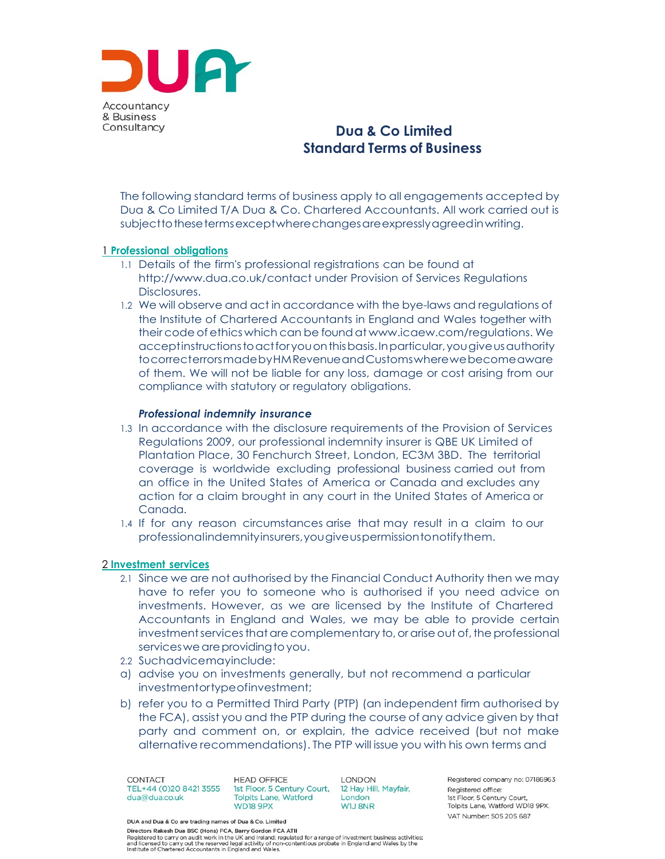

# **Dua & Co Limited Standard Terms of Business**

The following standard terms of business apply to all engagements accepted by Dua & Co Limited T/A Dua & Co. Chartered Accountants. All work carried out is subjecttothesetermsexceptwherechangesareexpresslyagreedinwriting.

## 1 **Professional obligations**

- 1.1 Details of the firm's professional registrations can be found a[t](http://www.dua.co.uk/contact) <http://www.dua.co.uk/contact> under Provision of Services Regulations Disclosures.
- 1.2 We will observe and act in accordance with the bye-laws and regulations of the Institute of Chartered Accountants in England and Wales together with their code of ethics which can be foundat [www.icaew.com/regulations.](http://www.icaew.com/regulations) We acceptinstructionstoactforyouonthisbasis.Inparticular,yougiveusauthority tocorrecterrorsmadebyHMRevenueandCustomswherewebecomeaware of them. We will not be liable for any loss, damage or cost arising from our compliance with statutory or regulatory obligations.

#### *Professional indemnity insurance*

- 1.3 In accordance with the disclosure requirements of the Provision of Services Regulations 2009, our professional indemnity insurer is QBE UK Limited of Plantation Place, 30 Fenchurch Street, London, EC3M 3BD. The territorial coverage is worldwide excluding professional business carried out from an office in the United States of America or Canada and excludes any action for a claim brought in any court in the United States of America or Canada.
- 1.4 If for any reason circumstances arise that may result in a claim to our professionalindemnityinsurers,yougiveuspermissiontonotifythem.

#### 2 **Investment services**

- 2.1 Since we are not authorised by the Financial Conduct Authority then we may have to refer you to someone who is authorised if you need advice on investments. However, as we are licensed by the Institute of Chartered Accountants in England and Wales, we may be able to provide certain investment services that are complementary to, or arise out of, the professional services we are providing to you.
- 2.2 Suchadvicemayinclude:
- a) advise you on investments generally, but not recommend a particular investmentortypeofinvestment;
- b) refer you to a Permitted Third Party (PTP) (an independent firm authorised by the FCA), assist you and the PTP during the course of any advice given by that party and comment on, or explain, the advice received (but not make alternative recommendations). The PTP will issue you with his own terms and

CONTACT TEL+44 (0)20 8421 3555 1st Floor, 5 Century Court, 12 Hay Hill, Mayfair, dua@dua.co.uk

**HEAD OFFICE Tolpits Lane, Watford** WD18 9PX

**LONDON London** WIJ 8NR

Registered company no: 07186963 Registered office: 1st Floor, 5 Century Court. Tolpits Lane, Watford WD18 9PX. VAT Number: 505 205 687

DUA and Dua & Co are trading names of Dua & Co. Limited

Directors Rakesh Dua BSC (Hons) FCA, Barry Gordon FCA ATII Directors Rakesh Dua BSC (Hons) FCA, Barry Gordon FCA ATII<br>Registered to carry on audit work in the UK and Ireland; regulated for a range of investment business activities;<br>and licensed to carry out the reserved legal acti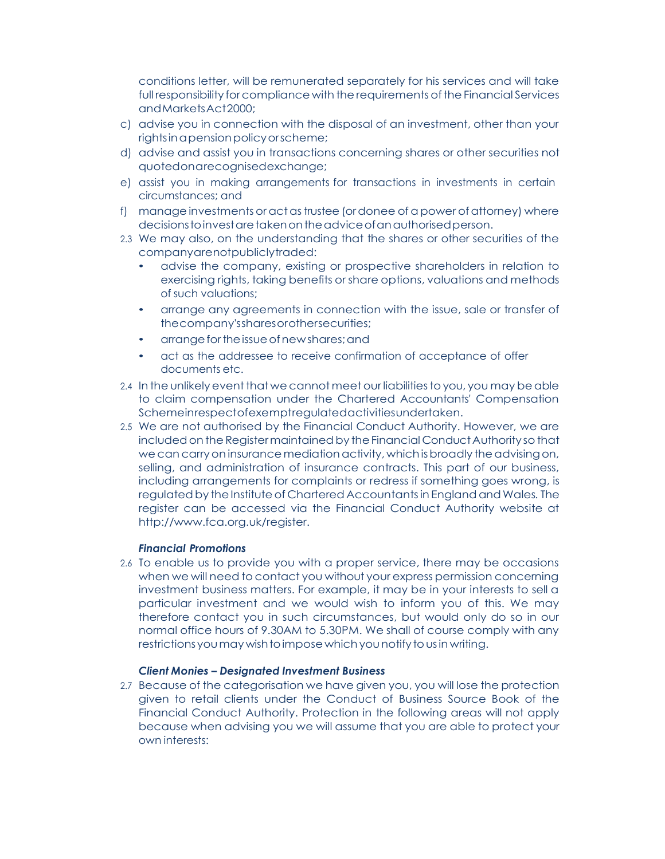conditions letter, will be remunerated separately for his services and will take full responsibility forcompliance with the requirements ofthe Financial Services andMarketsAct2000;

- c) advise you in connection with the disposal of an investment, other than your rightsinapensionpolicyorscheme;
- d) advise and assist you in transactions concerning shares or other securities not quotedonarecognisedexchange;
- e) assist you in making arrangements for transactions in investments in certain circumstances; and
- f) manage investments oractastrustee (ordonee ofa power ofattorney) where decisions to invest are taken on the advice of an authorised person.
- 2.3 We may also, on the understanding that the shares or other securities of the companyarenotpubliclytraded:
	- advise the company, existing or prospective shareholders in relation to exercising rights, taking benefits or share options, valuations and methods of such valuations;
	- arrange any agreements in connection with the issue, sale or transfer of thecompany'ssharesorothersecurities;
	- arrange for the issue of new shares; and
	- act as the addressee to receive confirmation of acceptance of offer documents etc.
- 2.4 In the unlikely event that we cannot meet our liabilities to you, you may be able to claim compensation under the Chartered Accountants' Compensation Schemeinrespectofexemptregulatedactivitiesundertaken.
- 2.5 We are not authorised by the Financial Conduct Authority. However, we are included on the Register maintained by the Financial Conduct Authority so that we can carry on insurance mediation activity, which is broadly the advising on, selling, and administration of insurance contracts. This part of our business, including arrangements for complaints or redress if something goes wrong, is regulated by the Institute of Chartered Accountants in England and Wales. The register can be accessed via the Financial Conduct Authority website a[t](http://www.fca.org.uk/register) [http://www.fca.org.uk/register.](http://www.fca.org.uk/register)

## *Financial Promotions*

2.6 To enable us to provide you with a proper service, there may be occasions when we will need to contact you without your express permission concerning investment business matters. For example, it may be in your interests to sell a particular investment and we would wish to inform you of this. We may therefore contact you in such circumstances, but would only do so in our normal office hours of 9.30AM to 5.30PM. We shall of course comply with any restrictions you may wish to impose which you notify to us in writing.

## *Client Monies – Designated Investment Business*

2.7 Because of the categorisation we have given you, you will lose the protection given to retail clients under the Conduct of Business Source Book of the Financial Conduct Authority. Protection in the following areas will not apply because when advising you we will assume that you are able to protect your own interests: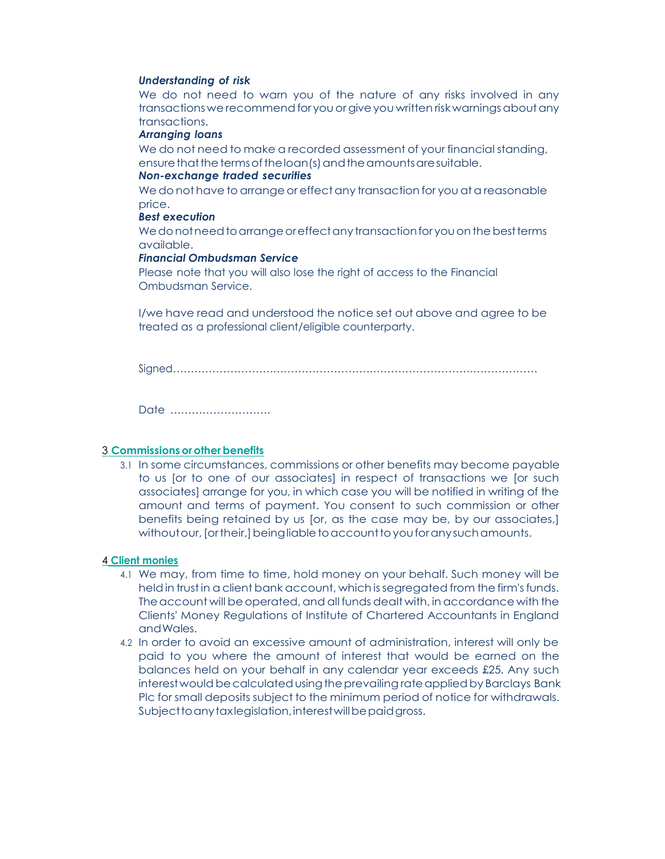#### *Understanding of risk*

We do not need to warn you of the nature of any risks involved in any transactions we recommend for you or give you written risk warnings about any transactions.

#### *Arranging loans*

We do not need to make a recorded assessment of your financial standing, ensure that the terms of the loan (s) and the amounts are suitable.

#### *Non-exchange traded securities*

We do not have to arrange or effect any transaction for you at a reasonable price.

## *Best execution*

We do not need to arrange or effect any transaction for you on the best terms available.

#### *Financial Ombudsman Service*

Please note that you will also lose the right of access to the Financial Ombudsman Service.

I/we have read and understood the notice set out above and agree to be treated as a professional client/eligible counterparty.

Signed……………………….……………………….……………………….………………

Date ……………………….

#### 3 **Commissionsor otherbenefits**

3.1 In some circumstances, commissions or other benefits may become payable to us [or to one of our associates] in respect of transactions we [or such associates] arrange for you, in which case you will be notified in writing of the amount and terms of payment. You consent to such commission or other benefits being retained by us [or, as the case may be, by our associates,] withoutour, [ortheir,] beingliable to account to you for any such amounts.

# 4 **Client monies**

- 4.1 We may, from time to time, hold money on your behalf. Such money will be held in trust in a client bank account, which is seareaated from the firm's funds. The account will be operated, and all funds dealt with, in accordance with the Clients' Money Regulations of Institute of Chartered Accountants in England andWales.
- 4.2 In order to avoid an excessive amount of administration, interest will only be paid to you where the amount of interest that would be earned on the balances held on your behalf in any calendar year exceeds £25. Any such interest would be calculated using the prevailing rate applied by Barclays Bank Plc for small deposits subject to the minimum period of notice for withdrawals. Subject to any taxlegislation, interest will be paid gross.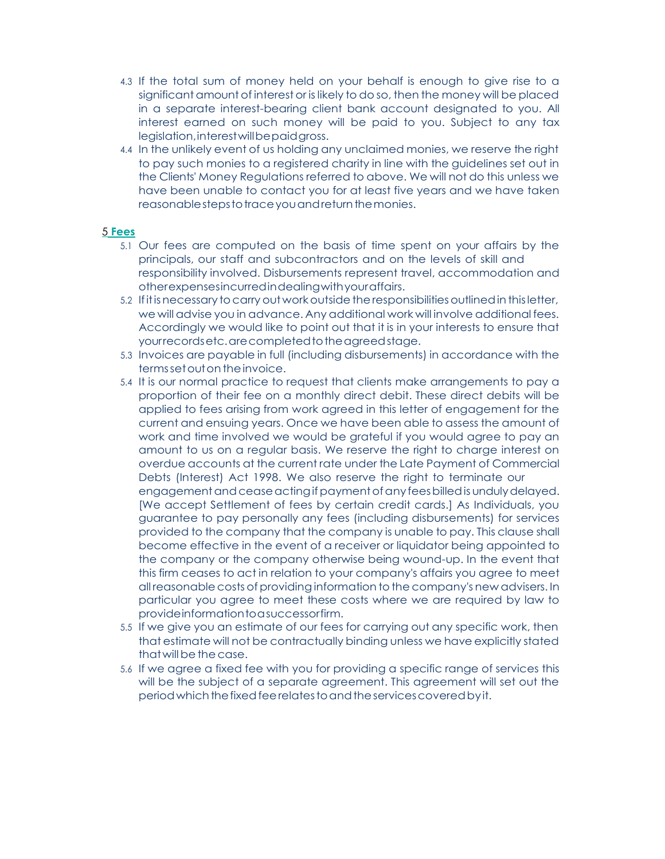- 4.3 If the total sum of money held on your behalf is enough to give rise to a significant amount of interest or is likely to do so, then the money will be placed in a separate interest-bearing client bank account designated to you. All interest earned on such money will be paid to you. Subject to any tax legislation,interestwillbepaidgross.
- 4.4 In the unlikely event of us holding any unclaimed monies, we reserve the right to pay such monies to a registered charity in line with the guidelines set out in the Clients' Money Regulations referred to above. We will not do this unless we have been unable to contact you for at least five years and we have taken reasonable steps to trace you and return the monies.

## 5 **Fees**

- 5.1 Our fees are computed on the basis of time spent on your affairs by the principals, our staff and subcontractors and on the levels of skill and responsibility involved. Disbursements represent travel, accommodation and otherexpensesincurredindealingwithyouraffairs.
- 5.2 Ifitisnecessary tocarry out workoutsidetheresponsibilitiesoutlinedin thisletter, we will advise you in advance. Any additional work will involve additional fees. Accordingly we would like to point out that it is in your interests to ensure that yourrecordsetc.arecompletedtotheagreedstage.
- 5.3 Invoices are payable in full (including disbursements) in accordance with the terms set out on the invoice.
- 5.4 It is our normal practice to request that clients make arrangements to pay a proportion of their fee on a monthly direct debit. These direct debits will be applied to fees arising from work agreed in this letter of engagement for the current and ensuing years. Once we have been able to assess the amount of work and time involved we would be grateful if you would agree to pay an amount to us on a regular basis. We reserve the right to charge interest on overdue accounts at the current rate under the Late Payment of Commercial Debts (Interest) Act 1998. We also reserve the right to terminate our engagement and cease acting if payment of any fees billed is unduly delayed. [We accept Settlement of fees by certain credit cards.] As Individuals, you guarantee to pay personally any fees (including disbursements) for services provided to the company that the company is unable to pay. This clause shall become effective in the event of a receiver or liquidator being appointed to the company or the company otherwise being wound-up. In the event that this firm ceases to act in relation to your company's affairs you agree to meet all reasonable costs of providing information to the company's new advisers. In particular you agree to meet these costs where we are required by law to provideinformationtoasuccessorfirm.
- 5.5 If we give you an estimate of our fees for carrying out any specific work, then that estimate will not be contractually binding unless we have explicitly stated that will be the case.
- 5.6 If we agree a fixed fee with you for providing a specific range of services this will be the subject of a separate agreement. This agreement will set out the periodwhichthefixedfeerelatestoandtheservicescoveredbyit.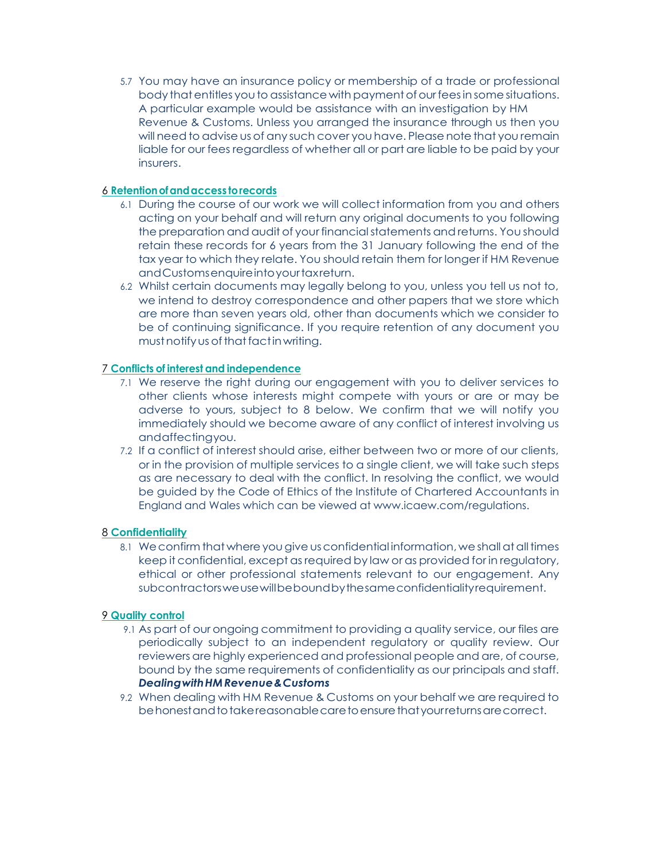5.7 You may have an insurance policy or membership of a trade or professional body that entitles you to assistance with payment of our fees in some situations. A particular example would be assistance with an investigation by HM Revenue & Customs. Unless you arranged the insurance through us then you will need to advise us of any such cover you have. Please note that you remain liable for our fees regardless of whether all or part are liable to be paid by your insurers.

# 6 **Retentionofandaccess torecords**

- 6.1 During the course of our work we will collect information from you and others acting on your behalf and will return any original documents to you following the preparation and audit of your financial statements and returns. You should retain these records for 6 years from the 31 January following the end of the tax year to which they relate. You should retain them for longer if HM Revenue andCustomsenquireintoyourtaxreturn.
- 6.2 Whilst certain documents may legally belong to you, unless you tell us not to, we intend to destroy correspondence and other papers that we store which are more than seven years old, other than documents which we consider to be of continuing significance. If you require retention of any document you must notify us of that fact in writing.

# 7 **Conflicts of interest and independence**

- 7.1 We reserve the right during our engagement with you to deliver services to other clients whose interests might compete with yours or are or may be adverse to yours, subject to 8 below. We confirm that we will notify you immediately should we become aware of any conflict of interest involving us andaffectingyou.
- 7.2 If a conflict of interest should arise, either between two or more of our clients, or in the provision of multiple services to a single client, we will take such steps as are necessary to deal with the conflict. In resolving the conflict, we would be guided by the Code of Ethics of the Institute of Chartered Accountants in England and Wales which can be viewed at [www.icaew.com/regulations.](http://www.icaew.com/regulations)

# 8 **Confidentiality**

8.1 We confirm that where you give us confidential information, we shall at all times keep it confidential, except as required by law or as provided for in regulatory, ethical or other professional statements relevant to our engagement. Any subcontractorsweusewillbeboundbythesameconfidentialityrequirement.

# 9 **Quality control**

- 9.1 As part of our ongoing commitment to providing a quality service, our files are periodically subject to an independent regulatory or quality review. Our reviewers are highly experienced and professional people and are, of course, bound by the same requirements of confidentiality as our principals and staff. *DealingwithHMRevenue&Customs*
- 9.2 When dealing with HM Revenue & Customs on your behalf we are required to behonest and to take reasonable care to ensure that your returns are correct.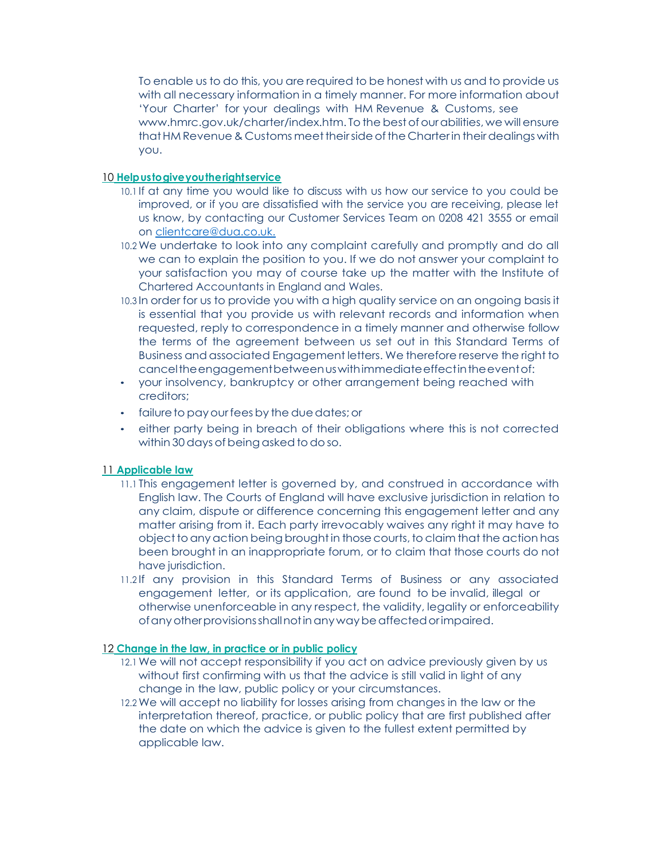To enable us to do this, you are required to be honest with us and to provide us with all necessary information in a timely manner. For more information about 'Your Charter' for your dealings with HM Revenue & Customs, se[e](http://www.hmrc.gov.uk/charter/index.htm) [www.hmrc.gov.uk/charter/index.htm.](http://www.hmrc.gov.uk/charter/index.htm) To the best of our abilities, we will ensure that HM Revenue & Customs meet their side of the Charter in their dealings with you.

#### 10 **Helpustogiveyoutherightservice**

- 10.1 If at any time you would like to discuss with us how our service to you could be improved, or if you are dissatisfied with the service you are receiving, please let us know, by contacting our Customer Services Team on 0208 421 3555 or email on [clientcare@dua.co.uk.](mailto:clientcare@dua.co.uk.)
- 10.2 We undertake to look into any complaint carefully and promptly and do all we can to explain the position to you. If we do not answer your complaint to your satisfaction you may of course take up the matter with the Institute of Chartered Accountants in England and Wales.
- 10.3 In order for us to provide you with a high quality service on an ongoing basis it is essential that you provide us with relevant records and information when requested, reply to correspondence in a timely manner and otherwise follow the terms of the agreement between us set out in this Standard Terms of Business and associated Engagement letters. We therefore reserve the right to canceltheengagementbetweenuswithimmediateeffectintheeventof:
- your insolvency, bankruptcy or other arrangement being reached with creditors;
- failure to pay our fees by the due dates; or
- either party being in breach of their obligations where this is not corrected within 30 days of being asked to do so.

## 11 **Applicable law**

- 11.1 This engagement letter is governed by, and construed in accordance with English law. The Courts of England will have exclusive jurisdiction in relation to any claim, dispute or difference concerning this engagement letter and any matter arising from it. Each party irrevocably waives any right it may have to objectto anyaction being broughtin thosecourts,to claim that the action has been brought in an inappropriate forum, or to claim that those courts do not have jurisdiction.
- 11.2 If any provision in this Standard Terms of Business or any associated engagement letter, or its application, are found to be invalid, illegal or otherwise unenforceable in any respect, the validity, legality or enforceability ofanyotherprovisionsshallnotinany waybeaffectedorimpaired.

#### 12 **Change in the law, in practice or in public policy**

- 12.1 We will not accept responsibility if you act on advice previously given by us without first confirming with us that the advice is still valid in light of any change in the law, public policy or your circumstances.
- 12.2 We will accept no liability for losses arising from changes in the law or the interpretation thereof, practice, or public policy that are first published after the date on which the advice is given to the fullest extent permitted by applicable law.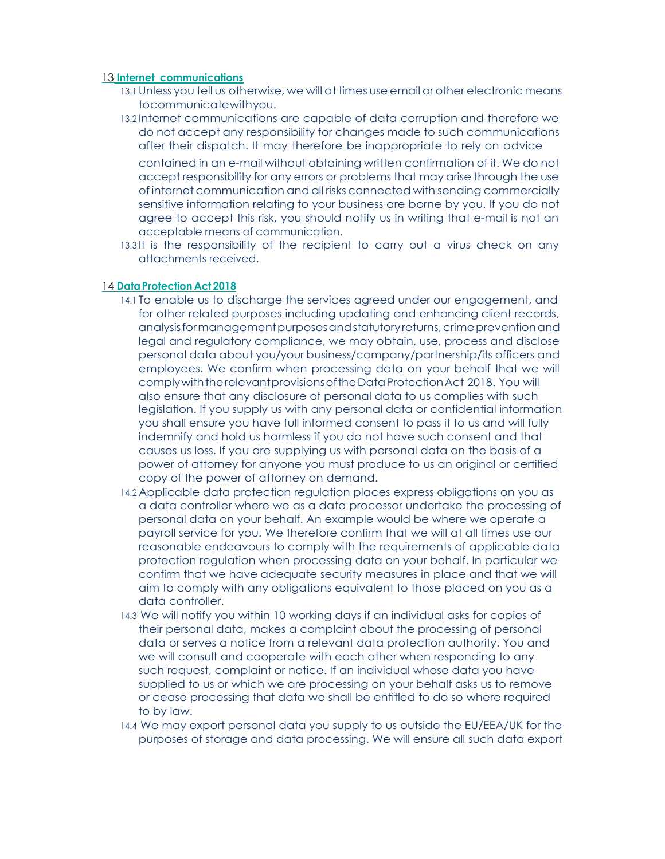### 13 **Internet communications**

- 13.1Unless you tell us otherwise, we will at times use email or other electronic means tocommunicatewithyou.
- 13.2 Internet communications are capable of data corruption and therefore we do not accept any responsibility for changes made to such communications after their dispatch. It may therefore be inappropriate to rely on advice

contained in an e-mail without obtaining written confirmation of it. We do not accept responsibility for any errors or problems that may arise through the use of internet communication and all risks connected with sending commercially sensitive information relating to your business are borne by you. If you do not agree to accept this risk, you should notify us in writing that e-mail is not an acceptable means of communication.

13.3 It is the responsibility of the recipient to carry out a virus check on any attachments received.

# 14 **DataProtection Act 2018**

- 14.1 To enable us to discharge the services agreed under our engagement, and for other related purposes including updating and enhancing client records, analysisformanagementpurposesandstatutoryreturns,crimepreventionand legal and regulatory compliance, we may obtain, use, process and disclose personal data about you/your business/company/partnership/its officers and employees. We confirm when processing data on your behalf that we will comply with the relevant provisions of the Data Protection Act 2018. You will also ensure that any disclosure of personal data to us complies with such legislation. If you supply us with any personal data or confidential information you shall ensure you have full informed consent to pass it to us and will fully indemnify and hold us harmless if you do not have such consent and that causes us loss. If you are supplying us with personal data on the basis of a power of attorney for anyone you must produce to us an original or certified copy of the power of attorney on demand.
- 14.2 Applicable data protection regulation places express obligations on you as a data controller where we as a data processor undertake the processing of personal data on your behalf. An example would be where we operate a payroll service for you. We therefore confirm that we will at all times use our reasonable endeavours to comply with the requirements of applicable data protection regulation when processing data on your behalf. In particular we confirm that we have adequate security measures in place and that we will aim to comply with any obligations equivalent to those placed on you as a data controller.
- 14.3 We will notify you within 10 working days if an individual asks for copies of their personal data, makes a complaint about the processing of personal data or serves a notice from a relevant data protection authority. You and we will consult and cooperate with each other when responding to any such request, complaint or notice. If an individual whose data you have supplied to us or which we are processing on your behalf asks us to remove or cease processing that data we shall be entitled to do so where required to by law.
- 14.4 We may export personal data you supply to us outside the EU/EEA/UK for the purposes of storage and data processing. We will ensure all such data export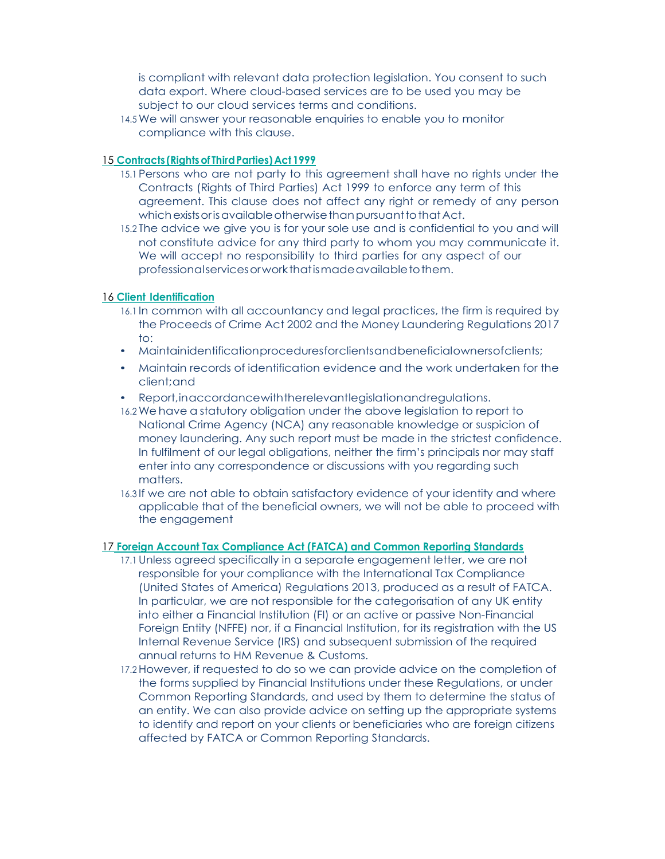is compliant with relevant data protection legislation. You consent to such data export. Where cloud-based services are to be used you may be subject to our cloud services terms and conditions.

14.5 We will answer your reasonable enquiries to enable you to monitor compliance with this clause.

## 15 **Contracts (Rightsof ThirdParties)Act 1999**

- 15.1 Persons who are not party to this agreement shall have no rights under the Contracts (Rights of Third Parties) Act 1999 to enforce any term of this agreement. This clause does not affect any right or remedy of any person which exists or is available otherwise than pursuant to that Act.
- 15.2 The advice we give you is for your sole use and is confidential to you and will not constitute advice for any third party to whom you may communicate it. We will accept no responsibility to third parties for any aspect of our professionalservicesorworkthatismadeavailabletothem.

# 16 **Client Identification**

- 16.1 In common with all accountancy and legal practices, the firm is required by the Proceeds of Crime Act 2002 and the Money Laundering Regulations 2017 to:
- Maintainidentificationproceduresforclientsandbeneficialownersofclients;
- Maintain records of identification evidence and the work undertaken for the client;and
- Report,inaccordancewiththerelevantlegislationandregulations.
- 16.2 We have a statutory obligation under the above legislation to report to National Crime Agency (NCA) any reasonable knowledge or suspicion of money laundering. Any such report must be made in the strictest confidence. In fulfilment of our legal obligations, neither the firm's principals nor may staff enter into any correspondence or discussions with you regarding such matters.
- 16.3 If we are not able to obtain satisfactory evidence of your identity and where applicable that of the beneficial owners, we will not be able to proceed with the engagement

# 17 **Foreign Account Tax Compliance Act (FATCA) and Common Reporting Standards**

- 17.1Unless agreed specifically in a separate engagement letter, we are not responsible for your compliance with the International Tax Compliance (United States of America) Regulations 2013, produced as a result of FATCA. In particular, we are not responsible for the categorisation of any UK entity into either a Financial Institution (FI) or an active or passive Non-Financial Foreign Entity (NFFE) nor, if a Financial Institution, for its registration with the US Internal Revenue Service (IRS) and subsequent submission of the required annual returns to HM Revenue & Customs.
- 17.2However, if requested to do so we can provide advice on the completion of the forms supplied by Financial Institutions under these Regulations, or under Common Reporting Standards, and used by them to determine the status of an entity. We can also provide advice on setting up the appropriate systems to identify and report on your clients or beneficiaries who are foreign citizens affected by FATCA or Common Reporting Standards.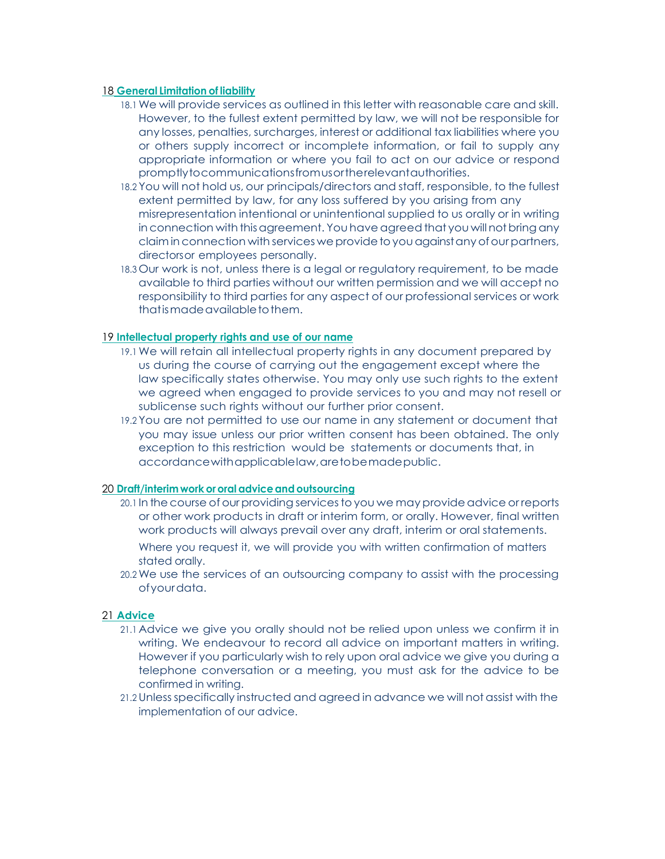#### 18 **General Limitation of liability**

- 18.1 We will provide services as outlined in this letter with reasonable care and skill. However, to the fullest extent permitted by law, we will not be responsible for any losses, penalties, surcharges, interest or additional tax liabilities where you or others supply incorrect or incomplete information, or fail to supply any appropriate information or where you fail to act on our advice or respond promptlytocommunicationsfromusortherelevantauthorities.
- 18.2 You will not hold us, our principals/directors and staff, responsible, to the fullest extent permitted by law, for any loss suffered by you arising from any misrepresentation intentional or unintentional supplied to us orally or in writing in connection with this agreement. You have agreed that you will not bring any claim in connection with services we provide to you against any of our partners, directorsor employees personally.
- 18.3 Our work is not, unless there is a legal or regulatory requirement, to be made available to third parties without our written permission and we will accept no responsibility to third parties for any aspect of our professional services or work that is made available to them.

## 19 **Intellectual property rights and use of our name**

- 19.1 We will retain all intellectual property rights in any document prepared by us during the course of carrying out the engagement except where the law specifically states otherwise. You may only use such rights to the extent we agreed when engaged to provide services to you and may not resell or sublicense such rights without our further prior consent.
- 19.2 You are not permitted to use our name in any statement or document that you may issue unless our prior written consent has been obtained. The only exception to this restriction would be statements or documents that, in accordancewithapplicablelaw,aretobemadepublic.

#### 20 **Draft/interimwork or oral adviceand outsourcing**

- 20.1 In the course of our providing services to you we may provide advice or reports or other work products in draft or interim form, or orally. However, final written work products will always prevail over any draft, interim or oral statements.
	- Where you request it, we will provide you with written confirmation of matters stated orally.
- 20.2 We use the services of an outsourcing company to assist with the processing ofyourdata.

#### 21 **Advice**

- 21.1 Advice we give you orally should not be relied upon unless we confirm it in writing. We endeavour to record all advice on important matters in writing. However if you particularly wish to rely upon oral advice we give you during a telephone conversation or a meeting, you must ask for the advice to be confirmed in writing.
- 21.2Unless specifically instructed and agreed in advance we will notassist with the implementation of our advice.